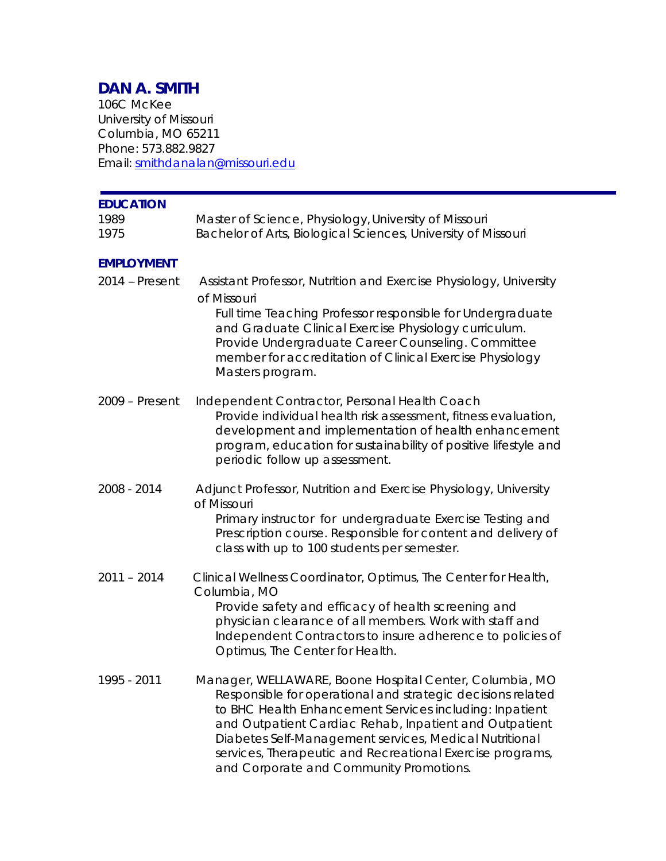# **DAN A. SMITH**

106C McKee University of Missouri Columbia, MO 65211 Phone: 573.882.9827 Email: smithdanalan@missouri.edu

| <b>EDUCATION</b><br>1989<br>1975 | Master of Science, Physiology, University of Missouri<br>Bachelor of Arts, Biological Sciences, University of Missouri                                                                                                                                                                                                                                                                                        |
|----------------------------------|---------------------------------------------------------------------------------------------------------------------------------------------------------------------------------------------------------------------------------------------------------------------------------------------------------------------------------------------------------------------------------------------------------------|
| <b>EMPLOYMENT</b>                |                                                                                                                                                                                                                                                                                                                                                                                                               |
| 2014 – Present                   | Assistant Professor, Nutrition and Exercise Physiology, University<br>of Missouri<br>Full time Teaching Professor responsible for Undergraduate<br>and Graduate Clinical Exercise Physiology curriculum.<br>Provide Undergraduate Career Counseling. Committee<br>member for accreditation of Clinical Exercise Physiology<br>Masters program.                                                                |
| 2009 - Present                   | Independent Contractor, Personal Health Coach<br>Provide individual health risk assessment, fitness evaluation,<br>development and implementation of health enhancement<br>program, education for sustainability of positive lifestyle and<br>periodic follow up assessment.                                                                                                                                  |
| 2008 - 2014                      | Adjunct Professor, Nutrition and Exercise Physiology, University<br>of Missouri<br>Primary instructor for undergraduate Exercise Testing and<br>Prescription course. Responsible for content and delivery of<br>class with up to 100 students per semester.                                                                                                                                                   |
| $2011 - 2014$                    | Clinical Wellness Coordinator, Optimus, The Center for Health,<br>Columbia, MO<br>Provide safety and efficacy of health screening and<br>physician clearance of all members. Work with staff and<br>Independent Contractors to insure adherence to policies of<br>Optimus, The Center for Health.                                                                                                             |
| 1995 - 2011                      | Manager, WELLAWARE, Boone Hospital Center, Columbia, MO<br>Responsible for operational and strategic decisions related<br>to BHC Health Enhancement Services including: Inpatient<br>and Outpatient Cardiac Rehab, Inpatient and Outpatient<br>Diabetes Self-Management services, Medical Nutritional<br>services, Therapeutic and Recreational Exercise programs,<br>and Corporate and Community Promotions. |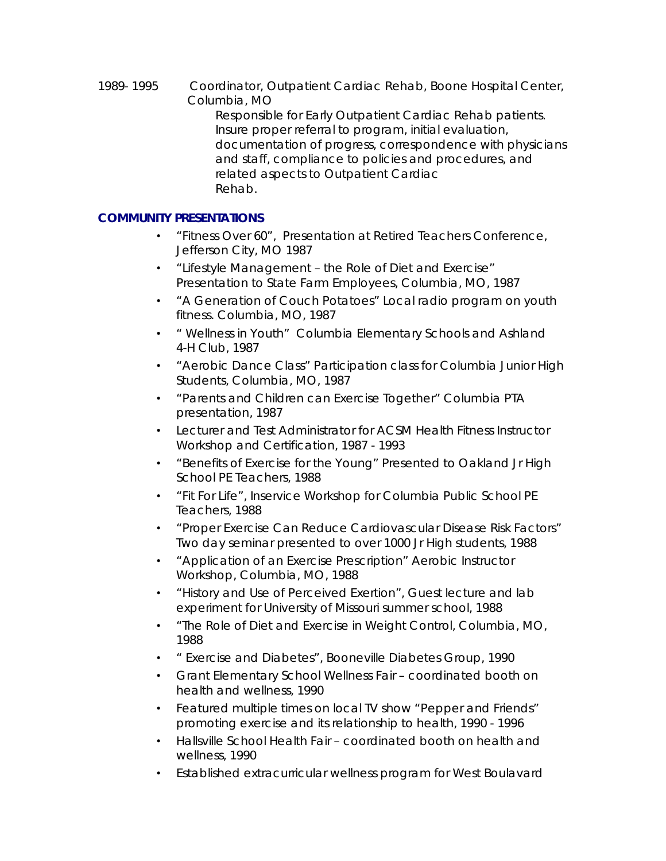*1989- 1995 Coordinator, Outpatient Cardiac Rehab, Boone Hospital Center, Columbia, MO* Responsible for Early Outpatient Cardiac Rehab patients. Insure proper referral to program, initial evaluation, documentation of progress, correspondence with physicians and staff, compliance to policies and procedures, and related aspects to Outpatient Cardiac Rehab.

## **COMMUNITY PRESENTATIONS**

- "Fitness Over 60", Presentation at Retired Teachers Conference, Jefferson City, MO 1987
- "Lifestyle Management the Role of Diet and Exercise" Presentation to State Farm Employees, Columbia, MO, 1987
- "A Generation of Couch Potatoes" Local radio program on youth fitness. Columbia, MO, 1987
- " Wellness in Youth" Columbia Elementary Schools and Ashland 4-H Club, 1987
- "Aerobic Dance Class" Participation class for Columbia Junior High Students, Columbia, MO, 1987
- "Parents and Children can Exercise Together" Columbia PTA presentation, 1987
- Lecturer and Test Administrator for ACSM Health Fitness Instructor Workshop and Certification, 1987 - 1993
- "Benefits of Exercise for the Young" Presented to Oakland Jr High School PE Teachers, 1988
- "Fit For Life", Inservice Workshop for Columbia Public School PE Teachers, 1988
- "Proper Exercise Can Reduce Cardiovascular Disease Risk Factors" Two day seminar presented to over 1000 Jr High students, 1988
- "Application of an Exercise Prescription" Aerobic Instructor Workshop, Columbia, MO, 1988
- "History and Use of Perceived Exertion", Guest lecture and lab experiment for University of Missouri summer school, 1988
- "The Role of Diet and Exercise in Weight Control, Columbia, MO, 1988
- " Exercise and Diabetes", Booneville Diabetes Group, 1990
- Grant Elementary School Wellness Fair coordinated booth on health and wellness, 1990
- Featured multiple times on local TV show "Pepper and Friends" promoting exercise and its relationship to health, 1990 - 1996
- Hallsville School Health Fair coordinated booth on health and wellness, 1990
- Established extracurricular wellness program for West Boulavard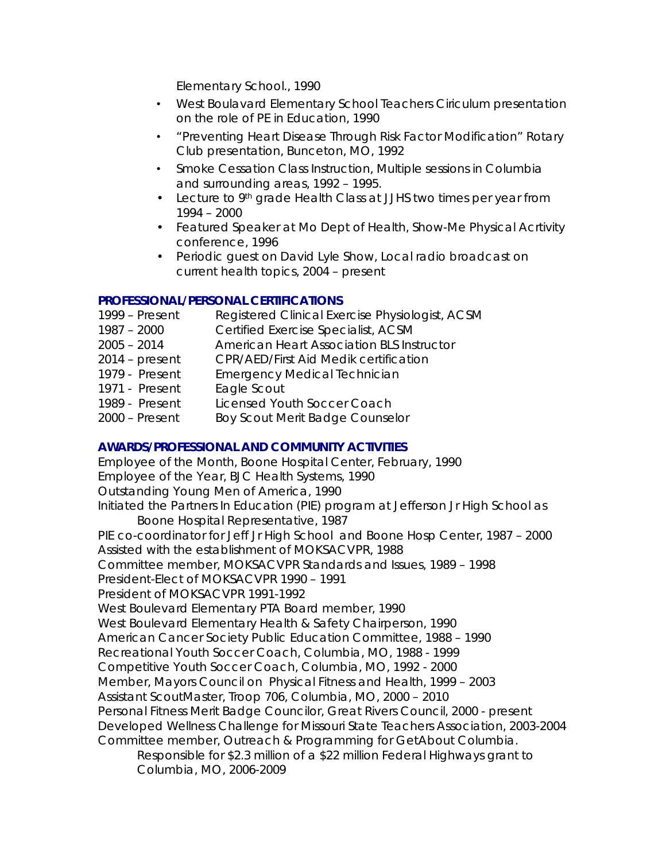Elementary School., 1990

- West Boulavard Elementary School Teachers Ciriculum presentation on the role of PE in Education, 1990
- "Preventing Heart Disease Through Risk Factor Modification" Rotary Club presentation, Bunceton, MO, 1992
- Smoke Cessation Class Instruction, Multiple sessions in Columbia and surrounding areas, 1992 – 1995.
- Lecture to 9<sup>th</sup> grade Health Class at JJHS two times per year from 1994 – 2000
- Featured Speaker at Mo Dept of Health, Show-Me Physical Acrtivity conference, 1996
- Periodic guest on David Lyle Show, Local radio broadcast on current health topics, 2004 – present

## **PROFESSIONAL/PERSONAL CERTIFICATIONS**

- 1999 Present Registered Clinical Exercise Physiologist, ACSM
- 1987 2000 Certified Exercise Specialist, ACSM
- 2005 2014 American Heart Association BLS Instructor
- 2014 present CPR/AED/First Aid Medik certification
- 1979 Present Emergency Medical Technician
- 1971 Present Eagle Scout
- 1989 Present Licensed Youth Soccer Coach
- 2000 Present Boy Scout Merit Badge Counselor

### **AWARDS/PROFESSIONAL AND COMMUNITY ACTIVITIES**

Employee of the Month, Boone Hospital Center, February, 1990 Employee of the Year, BJC Health Systems, 1990 Outstanding Young Men of America, 1990 Initiated the Partners In Education (PIE) program at Jefferson Jr High School as Boone Hospital Representative, 1987 PIE co-coordinator for Jeff Jr High School and Boone Hosp Center, 1987 – 2000 Assisted with the establishment of MOKSACVPR, 1988 Committee member, MOKSACVPR Standards and Issues, 1989 – 1998 President-Elect of MOKSACVPR 1990 – 1991 President of MOKSACVPR 1991-1992 West Boulevard Elementary PTA Board member, 1990 West Boulevard Elementary Health & Safety Chairperson, 1990 American Cancer Society Public Education Committee, 1988 – 1990 Recreational Youth Soccer Coach, Columbia, MO, 1988 - 1999 Competitive Youth Soccer Coach, Columbia, MO, 1992 - 2000 Member, Mayors Council on Physical Fitness and Health, 1999 – 2003 Assistant ScoutMaster, Troop 706, Columbia, MO, 2000 – 2010 Personal Fitness Merit Badge Councilor, Great Rivers Council, 2000 - present Developed Wellness Challenge for Missouri State Teachers Association, 2003-2004 Committee member, Outreach & Programming for GetAbout Columbia. Responsible for \$2.3 million of a \$22 million Federal Highways grant to Columbia, MO, 2006-2009